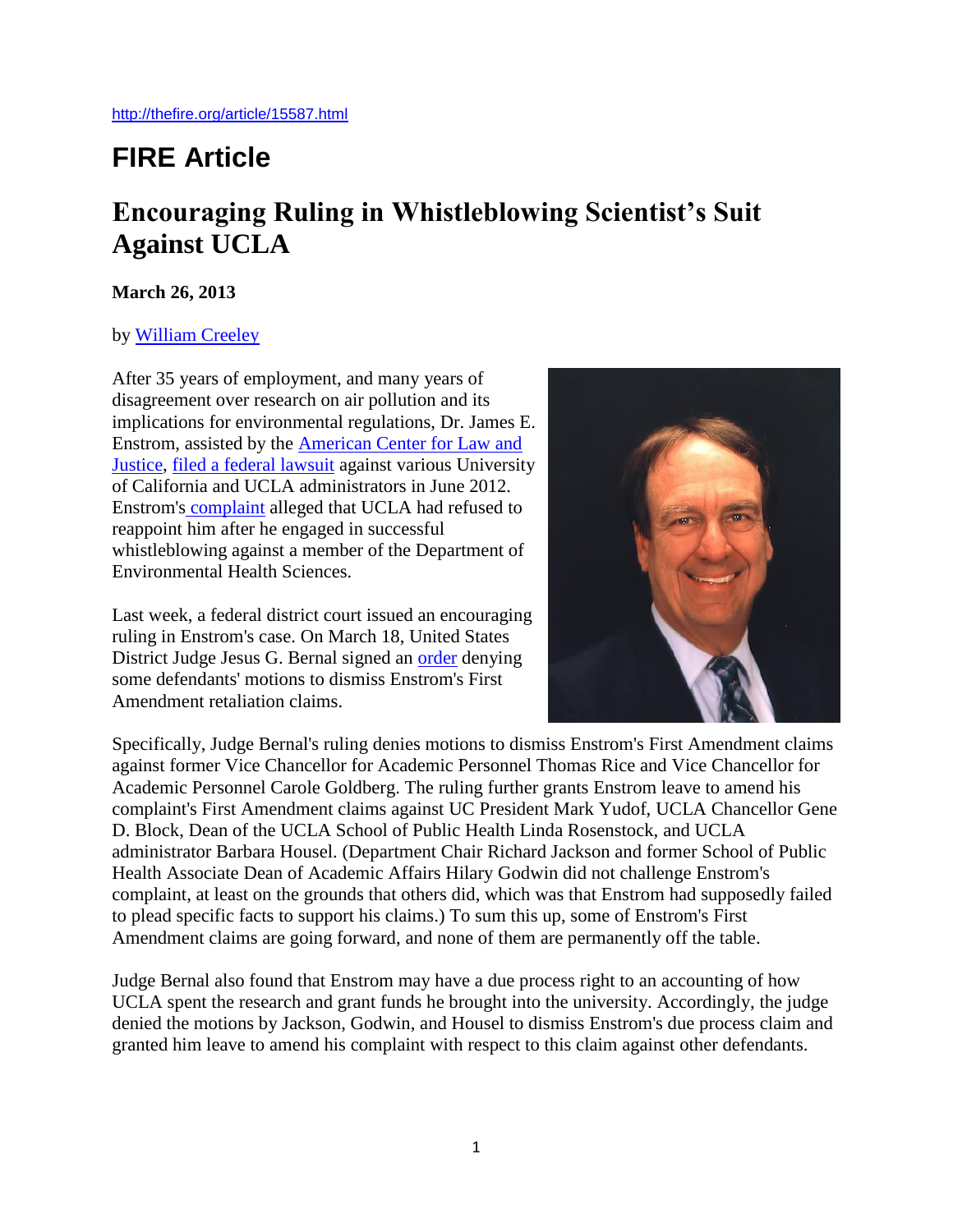## **FIRE Article**

## **Encouraging Ruling in Whistleblowing Scientist's Suit Against UCLA**

## **March 26, 2013**

## by [William Creeley](http://thefire.org/people/3437.html)

After 35 years of employment, and many years of disagreement over research on air pollution and its implications for environmental regulations, Dr. James E. Enstrom, assisted by the [American Center for Law and](http://aclj.org/)  [Justice,](http://aclj.org/) [filed a federal lawsuit](http://thefire.org/article/14576.html) against various University of California and UCLA administrators in June 2012. Enstrom's [complaint](http://thefire.org/article/14575.html) alleged that UCLA had refused to reappoint him after he engaged in successful whistleblowing against a member of the Department of Environmental Health Sciences.

Last week, a federal district court issued an encouraging ruling in Enstrom's case. On March 18, United States District Judge Jesus G. Bernal signed an [order](http://thefire.org/article/15586.html) denying some defendants' motions to dismiss Enstrom's First Amendment retaliation claims.



Specifically, Judge Bernal's ruling denies motions to dismiss Enstrom's First Amendment claims against former Vice Chancellor for Academic Personnel Thomas Rice and Vice Chancellor for Academic Personnel Carole Goldberg. The ruling further grants Enstrom leave to amend his complaint's First Amendment claims against UC President Mark Yudof, UCLA Chancellor Gene D. Block, Dean of the UCLA School of Public Health Linda Rosenstock, and UCLA administrator Barbara Housel. (Department Chair Richard Jackson and former School of Public Health Associate Dean of Academic Affairs Hilary Godwin did not challenge Enstrom's complaint, at least on the grounds that others did, which was that Enstrom had supposedly failed to plead specific facts to support his claims.) To sum this up, some of Enstrom's First Amendment claims are going forward, and none of them are permanently off the table.

Judge Bernal also found that Enstrom may have a due process right to an accounting of how UCLA spent the research and grant funds he brought into the university. Accordingly, the judge denied the motions by Jackson, Godwin, and Housel to dismiss Enstrom's due process claim and granted him leave to amend his complaint with respect to this claim against other defendants.